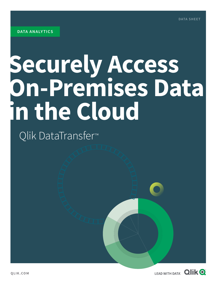# **Securely Access On-Premises Data in the Cloud**

Qlik DataTransfer™

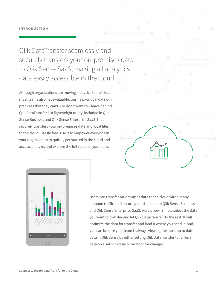Qlik DataTransfer seamlessly and securely transfers your on-premises data to Qlik Sense SaaS, making all analytics data easily accessible in the cloud.

Although organizations are moving analytics to the cloud, most teams also have valuable, business-critical data onpremises that they can't – or don't want to – leave behind. Qlik DataTransfer is a lightweight utility, included in Qlik Sense Business and Qlik Sense Enterprise SaaS, that securely transfers your on-premises data and local files to the cloud. Hassle free. Use it to empower everyone in your organization to quickly get started in the cloud and access, analyze, and explore the full scope of your data.



Users can transfer on-premises data to the cloud without any inbound traffic, and securely send all data to Qlik Sense Business and Qlik Sense Enterprise SaaS. Here's how. Simply select the data you want to transfer and let Qlik DataTransfer do the rest. It will optimize the data for transfer and land it where you need it. And, you can be sure your team is always viewing the most up to date data in Qlik Sense by either setting Qlik DataTransfer to refresh data on a set schedule or monitor for changes.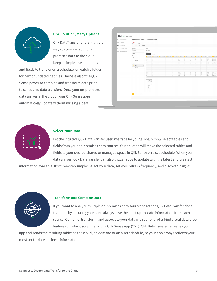

#### **One Solution, Many Options**

Qlik DataTransfer offers multiple ways to transfer your onpremises data to the cloud. Keep it simple – select tables

and fields to transfer on a schedule, or watch a folder for new or updated flat files. Harness all of the Qlik Sense power to combine and transform data prior to scheduled data transfers. Once your on-premises data arrives in the cloud, your Qlik Sense apps automatically update without missing a beat.

|                    | Upload data from a data connection |                                                                             |                                            |                                                                                                                                                                 |                                                                                                                                                                                                                                                                                                                                 |                 |                |                                                                                                                                   |                                                                                       |                                                                             |                                                                                     |                                                                                                           |                                                                                                                         |
|--------------------|------------------------------------|-----------------------------------------------------------------------------|--------------------------------------------|-----------------------------------------------------------------------------------------------------------------------------------------------------------------|---------------------------------------------------------------------------------------------------------------------------------------------------------------------------------------------------------------------------------------------------------------------------------------------------------------------------------|-----------------|----------------|-----------------------------------------------------------------------------------------------------------------------------------|---------------------------------------------------------------------------------------|-----------------------------------------------------------------------------|-------------------------------------------------------------------------------------|-----------------------------------------------------------------------------------------------------------|-------------------------------------------------------------------------------------------------------------------------|
| Qlikapps           |                                    |                                                                             |                                            |                                                                                                                                                                 |                                                                                                                                                                                                                                                                                                                                 |                 |                |                                                                                                                                   |                                                                                       |                                                                             |                                                                                     |                                                                                                           |                                                                                                                         |
| Data folders       | Select data to load (ODBC)         |                                                                             |                                            |                                                                                                                                                                 |                                                                                                                                                                                                                                                                                                                                 |                 |                |                                                                                                                                   |                                                                                       |                                                                             |                                                                                     |                                                                                                           |                                                                                                                         |
| Connection details | Database                           |                                                                             | enters                                     |                                                                                                                                                                 |                                                                                                                                                                                                                                                                                                                                 |                 |                |                                                                                                                                   |                                                                                       |                                                                             |                                                                                     |                                                                                                           |                                                                                                                         |
|                    | Attunity                           | ۰                                                                           |                                            |                                                                                                                                                                 |                                                                                                                                                                                                                                                                                                                                 |                 |                |                                                                                                                                   |                                                                                       |                                                                             |                                                                                     |                                                                                                           |                                                                                                                         |
| Scheduled uploads  | Owner                              |                                                                             |                                            |                                                                                                                                                                 |                                                                                                                                                                                                                                                                                                                                 |                 |                |                                                                                                                                   |                                                                                       |                                                                             |                                                                                     |                                                                                                           |                                                                                                                         |
|                    |                                    |                                                                             |                                            |                                                                                                                                                                 |                                                                                                                                                                                                                                                                                                                                 |                 |                |                                                                                                                                   |                                                                                       |                                                                             |                                                                                     |                                                                                                           |                                                                                                                         |
|                    |                                    |                                                                             |                                            |                                                                                                                                                                 |                                                                                                                                                                                                                                                                                                                                 |                 |                |                                                                                                                                   |                                                                                       |                                                                             |                                                                                     |                                                                                                           |                                                                                                                         |
|                    |                                    |                                                                             |                                            |                                                                                                                                                                 |                                                                                                                                                                                                                                                                                                                                 |                 |                | <b>V</b> Cares                                                                                                                    | $2$ cos                                                                               | $\nabla$ $\infty$                                                           |                                                                                     |                                                                                                           |                                                                                                                         |
|                    |                                    |                                                                             | 10469                                      | 86                                                                                                                                                              |                                                                                                                                                                                                                                                                                                                                 |                 | 69             | 41                                                                                                                                | 35                                                                                    | ×                                                                           | 20 <sub>2</sub>                                                                     | $\alpha$                                                                                                  | 43.26                                                                                                                   |
|                    |                                    |                                                                             | 11379                                      |                                                                                                                                                                 |                                                                                                                                                                                                                                                                                                                                 |                 |                | 393                                                                                                                               | 313                                                                                   | 748                                                                         | 74                                                                                  | 43                                                                                                        | 65.97<br>46,94                                                                                                          |
|                    |                                    |                                                                             |                                            |                                                                                                                                                                 |                                                                                                                                                                                                                                                                                                                                 |                 |                |                                                                                                                                   |                                                                                       |                                                                             |                                                                                     |                                                                                                           | 47.03<br>34.75                                                                                                          |
|                    | customer                           |                                                                             | 18442                                      |                                                                                                                                                                 |                                                                                                                                                                                                                                                                                                                                 |                 |                | 1575                                                                                                                              | 1296                                                                                  | 279                                                                         | 20                                                                                  | 75                                                                                                        | 65.12                                                                                                                   |
|                    |                                    |                                                                             | 10442<br>10470                             | 42                                                                                                                                                              |                                                                                                                                                                                                                                                                                                                                 |                 | 44             | 5961                                                                                                                              | 4905                                                                                  | 1056                                                                        | 77                                                                                  | 283                                                                                                       | 65.12<br>65.12                                                                                                          |
|                    |                                    |                                                                             |                                            |                                                                                                                                                                 |                                                                                                                                                                                                                                                                                                                                 |                 |                |                                                                                                                                   |                                                                                       |                                                                             |                                                                                     | 5                                                                                                         | 65.12<br>57.21                                                                                                          |
|                    |                                    |                                                                             | 10470                                      |                                                                                                                                                                 |                                                                                                                                                                                                                                                                                                                                 |                 | 34             | 871                                                                                                                               | 654                                                                                   | 216                                                                         | 20                                                                                  | 113                                                                                                       | 57.21                                                                                                                   |
|                    |                                    |                                                                             | 18471                                      |                                                                                                                                                                 |                                                                                                                                                                                                                                                                                                                                 |                 |                | 4524                                                                                                                              | 3257                                                                                  | 1266                                                                        |                                                                                     |                                                                                                           | 33.28<br>33.28                                                                                                          |
|                    |                                    |                                                                             |                                            |                                                                                                                                                                 |                                                                                                                                                                                                                                                                                                                                 |                 |                |                                                                                                                                   |                                                                                       |                                                                             |                                                                                     |                                                                                                           | 45.24<br>33.16                                                                                                          |
|                    |                                    |                                                                             | 12087                                      | 65                                                                                                                                                              |                                                                                                                                                                                                                                                                                                                                 |                 | $\frac{1}{67}$ | 3484                                                                                                                              | 184                                                                                   | 836                                                                         |                                                                                     | 180                                                                                                       | 56.92                                                                                                                   |
|                    |                                    |                                                                             |                                            |                                                                                                                                                                 |                                                                                                                                                                                                                                                                                                                                 |                 |                |                                                                                                                                   |                                                                                       |                                                                             |                                                                                     |                                                                                                           | 41.58<br>57.2                                                                                                           |
|                    |                                    |                                                                             | 10443                                      | 86                                                                                                                                                              |                                                                                                                                                                                                                                                                                                                                 |                 |                | 238                                                                                                                               | 199                                                                                   | 31                                                                          | 26                                                                                  | $\theta$                                                                                                  | 34.34                                                                                                                   |
|                    |                                    |                                                                             |                                            |                                                                                                                                                                 |                                                                                                                                                                                                                                                                                                                                 |                 |                |                                                                                                                                   |                                                                                       |                                                                             |                                                                                     |                                                                                                           |                                                                                                                         |
|                    |                                    |                                                                             |                                            |                                                                                                                                                                 |                                                                                                                                                                                                                                                                                                                                 |                 |                |                                                                                                                                   |                                                                                       |                                                                             |                                                                                     |                                                                                                           |                                                                                                                         |
|                    |                                    |                                                                             |                                            |                                                                                                                                                                 |                                                                                                                                                                                                                                                                                                                                 |                 |                |                                                                                                                                   |                                                                                       |                                                                             |                                                                                     |                                                                                                           |                                                                                                                         |
|                    |                                    |                                                                             |                                            |                                                                                                                                                                 |                                                                                                                                                                                                                                                                                                                                 |                 |                |                                                                                                                                   |                                                                                       |                                                                             |                                                                                     |                                                                                                           |                                                                                                                         |
|                    |                                    |                                                                             |                                            |                                                                                                                                                                 |                                                                                                                                                                                                                                                                                                                                 |                 |                |                                                                                                                                   |                                                                                       |                                                                             |                                                                                     |                                                                                                           |                                                                                                                         |
|                    |                                    |                                                                             | Sales,                                     |                                                                                                                                                                 |                                                                                                                                                                                                                                                                                                                                 |                 |                |                                                                                                                                   |                                                                                       |                                                                             |                                                                                     |                                                                                                           |                                                                                                                         |
|                    |                                    |                                                                             |                                            |                                                                                                                                                                 |                                                                                                                                                                                                                                                                                                                                 |                 |                |                                                                                                                                   |                                                                                       |                                                                             |                                                                                     |                                                                                                           |                                                                                                                         |
|                    |                                    |                                                                             | Quantity,                                  |                                                                                                                                                                 |                                                                                                                                                                                                                                                                                                                                 |                 |                |                                                                                                                                   |                                                                                       |                                                                             |                                                                                     |                                                                                                           |                                                                                                                         |
|                    |                                    |                                                                             |                                            |                                                                                                                                                                 |                                                                                                                                                                                                                                                                                                                                 |                 |                |                                                                                                                                   |                                                                                       |                                                                             |                                                                                     |                                                                                                           |                                                                                                                         |
|                    |                                    |                                                                             |                                            |                                                                                                                                                                 |                                                                                                                                                                                                                                                                                                                                 |                 |                |                                                                                                                                   |                                                                                       |                                                                             |                                                                                     |                                                                                                           |                                                                                                                         |
|                    |                                    |                                                                             |                                            |                                                                                                                                                                 |                                                                                                                                                                                                                                                                                                                                 |                 |                |                                                                                                                                   |                                                                                       |                                                                             |                                                                                     |                                                                                                           |                                                                                                                         |
|                    |                                    |                                                                             |                                            |                                                                                                                                                                 |                                                                                                                                                                                                                                                                                                                                 |                 |                |                                                                                                                                   |                                                                                       |                                                                             |                                                                                     |                                                                                                           |                                                                                                                         |
|                    |                                    |                                                                             |                                            |                                                                                                                                                                 |                                                                                                                                                                                                                                                                                                                                 |                 |                |                                                                                                                                   |                                                                                       |                                                                             |                                                                                     |                                                                                                           |                                                                                                                         |
|                    |                                    | dbo<br>Tables<br>Q Fitter topies<br>categories<br>$\Box$ erders<br>products | $\tau$<br>$13\,$<br>Include LOAD statement | Filter data<br>rields<br>Preview<br>v,<br>10409<br>12401<br>12544<br>10442<br>10470<br>10471<br>11543<br>11772<br>12176<br>12313<br>$\leftarrow$<br>cos.<br>CP. | MS_SQL_eBay (Microsoft SQL Server)<br>Metadata<br>Order10<br>46<br>$\frac{82}{71}$<br>$75$<br>$42$<br>$42\,$<br>42<br>$\begin{array}{c} 28 \\ 28 \end{array}$<br>$rac{59}{50}$<br>$rac{82}{48}$<br>$\mathcal{T}^*_n$<br>32<br>LOAD Order ID.<br>CustomerID,<br>EmployeeID<br>Shipper1D.<br>ProductID.<br>Discount,<br>Statustic | CustomerID<br>× | C EmployeeED   | ShipperiD V Productio<br>10<br>31<br>20<br>$\frac{57}{38}$<br>41<br>65<br>24<br>$rac{11}{38}$<br>$rac{13}{24}$<br>$\frac{51}{29}$ | 234<br>10078<br>13294<br>135<br>105<br>47.<br>428<br>22112<br>11674<br>16853<br>16300 | 168<br>848<br>268<br>117<br>87<br>$40 -$<br>308<br>700<br>159<br>702<br>476 | 65<br>315<br>247<br>$18$<br>18<br>$\overline{R}$<br>119<br>325<br>229<br>421<br>986 | 30<br>82<br>$\alpha$<br>13<br>10<br>10 <sup>1</sup><br>$rac{12}{60}$<br>75<br>98<br>85<br>$\frac{98}{72}$ | Country V Discount Freight<br>$39$<br>$20$<br>193<br>$\alpha$<br>$\alpha$<br>$\frac{71}{754}$<br>00<br>166<br>22<br>184 |



## **Select Your Data**

Let the intuitive Qlik DataTransfer user interface be your guide. Simply select tables and fields from your on-premises data sources. Our solution will move the selected tables and fields to your desired shared or managed space in Qlik Sense on a set schedule. When your data arrives, Qlik DataTransfer can also trigger apps to update with the latest and greatest

information available. It's three-step simple: Select your data, set your refresh frequency, and discover insights.



#### **Transform and Combine Data**

If you want to analyze multiple on-premises data sources together, Qlik DataTransfer does that, too, by ensuring your apps always have the most up-to-date information from each source. Combine, transform, and associate your data with our one-of-a-kind visual data prep features or robust scripting with a Qlik Sense app (QVF). Qlik DataTransfer refreshes your

app and sends the resulting tables to the cloud, on demand or on a set schedule, so your app always reflects your most up-to-date business information.